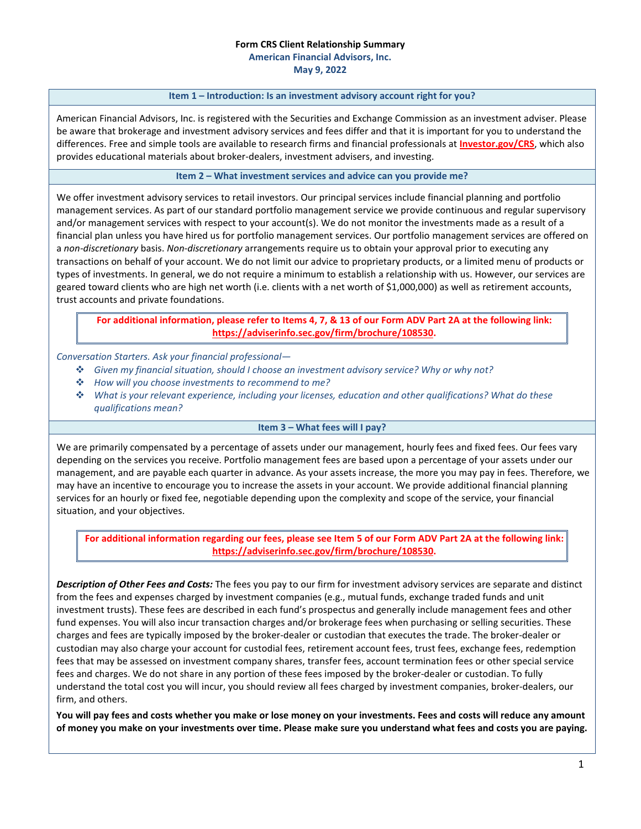# **Form CRS Client Relationship Summary**

**American Financial Advisors, Inc.**

**May 9, 2022**

#### **Item 1 – Introduction: Is an investment advisory account right for you?**

American Financial Advisors, Inc. is registered with the Securities and Exchange Commission as an investment adviser. Please be aware that brokerage and investment advisory services and fees differ and that it is important for you to understand the differences. Free and simple tools are available to research firms and financial professionals at **[Investor.gov/CRS](https://www.investor.gov/CRS)**, which also provides educational materials about broker-dealers, investment advisers, and investing.

**Item 2 – What investment services and advice can you provide me?**

We offer investment advisory services to retail investors. Our principal services include financial planning and portfolio management services. As part of our standard portfolio management service we provide continuous and regular supervisory and/or management services with respect to your account(s). We do not monitor the investments made as a result of a financial plan unless you have hired us for portfolio management services. Our portfolio management services are offered on a *non-discretionary* basis. *Non-discretionary* arrangements require us to obtain your approval prior to executing any transactions on behalf of your account. We do not limit our advice to proprietary products, or a limited menu of products or types of investments. In general, we do not require a minimum to establish a relationship with us. However, our services are geared toward clients who are high net worth (i.e. clients with a net worth of \$1,000,000) as well as retirement accounts, trust accounts and private foundations.

**For additional information, please refer to Items 4, 7, & 13 of our Form ADV Part 2A at the following link: [https://adviserinfo.sec.gov/firm/brochure/108530.](https://adviserinfo.sec.gov/firm/brochure/108530)**

## *Conversation Starters. Ask your financial professional—*

- *Given my financial situation, should I choose an investment advisory service? Why or why not?*
- *How will you choose investments to recommend to me?*
- *What is your relevant experience, including your licenses, education and other qualifications? What do these qualifications mean?*

### **Item 3 – What fees will I pay?**

We are primarily compensated by a percentage of assets under our management, hourly fees and fixed fees. Our fees vary depending on the services you receive. Portfolio management fees are based upon a percentage of your assets under our management, and are payable each quarter in advance. As your assets increase, the more you may pay in fees. Therefore, we may have an incentive to encourage you to increase the assets in your account. We provide additional financial planning services for an hourly or fixed fee, negotiable depending upon the complexity and scope of the service, your financial situation, and your objectives.

**For additional information regarding our fees, please see Item 5 of our Form ADV Part 2A at the following link: [https://adviserinfo.sec.gov/firm/brochure/108530.](https://adviserinfo.sec.gov/firm/brochure/108530)**

*Description of Other Fees and Costs:* The fees you pay to our firm for investment advisory services are separate and distinct from the fees and expenses charged by investment companies (e.g., mutual funds, exchange traded funds and unit investment trusts). These fees are described in each fund's prospectus and generally include management fees and other fund expenses. You will also incur transaction charges and/or brokerage fees when purchasing or selling securities. These charges and fees are typically imposed by the broker-dealer or custodian that executes the trade. The broker-dealer or custodian may also charge your account for custodial fees, retirement account fees, trust fees, exchange fees, redemption fees that may be assessed on investment company shares, transfer fees, account termination fees or other special service fees and charges. We do not share in any portion of these fees imposed by the broker-dealer or custodian. To fully understand the total cost you will incur, you should review all fees charged by investment companies, broker-dealers, our firm, and others.

**You will pay fees and costs whether you make or lose money on your investments. Fees and costs will reduce any amount of money you make on your investments over time. Please make sure you understand what fees and costs you are paying.**